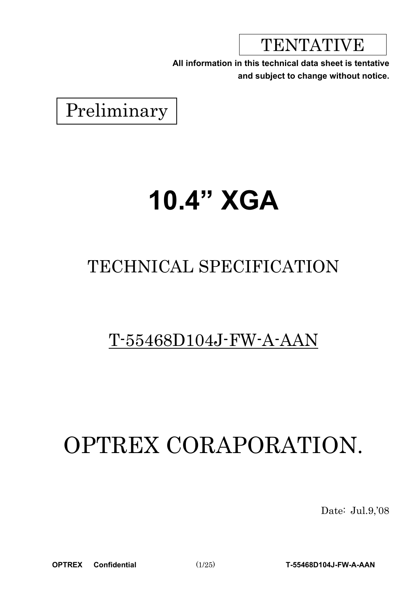TENTATIVE

**All information in this technical data sheet is tentative and subject to change without notice.**

Preliminary

# **10.4" XGA**

# TECHNICAL SPECIFICATION

# T-55468D104J-FW-A-AAN

# OPTREX CORAPORATION.

Date: Jul.9,'08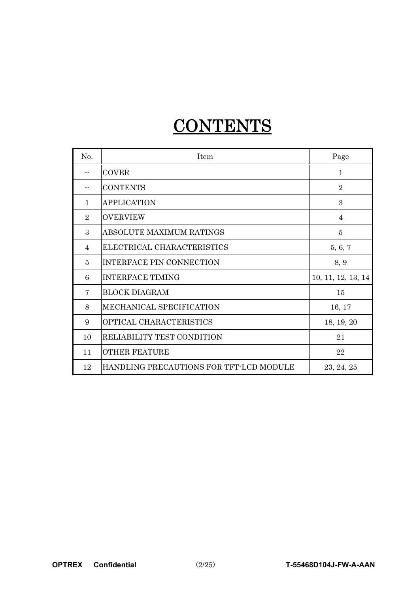# CONTENTS-

| No.            | <b>Item</b>                             | Page               |
|----------------|-----------------------------------------|--------------------|
|                | <b>COVER</b>                            | $\mathbf{1}$       |
|                | <b>CONTENTS</b>                         | $\overline{2}$     |
| $\mathbf{1}$   | <b>APPLICATION</b>                      | 3                  |
| $\overline{2}$ | <b>OVERVIEW</b>                         | $\overline{4}$     |
| 3              | ABSOLUTE MAXIMUM RATINGS                | 5                  |
| 4              | ELECTRICAL CHARACTERISTICS              | 5, 6, 7            |
| 5              | <b>INTERFACE PIN CONNECTION</b>         | 8, 9               |
| 6              | <b>INTERFACE TIMING</b>                 | 10, 11, 12, 13, 14 |
| 7              | <b>BLOCK DIAGRAM</b>                    | 15                 |
| 8              | MECHANICAL SPECIFICATION                | 16, 17             |
| 9              | OPTICAL CHARACTERISTICS                 | 18, 19, 20         |
| 10             | RELIABILITY TEST CONDITION              | 21                 |
| 11             | <b>OTHER FEATURE</b>                    | 22                 |
| 12             | HANDLING PRECAUTIONS FOR TFT-LCD MODULE | 23, 24, 25         |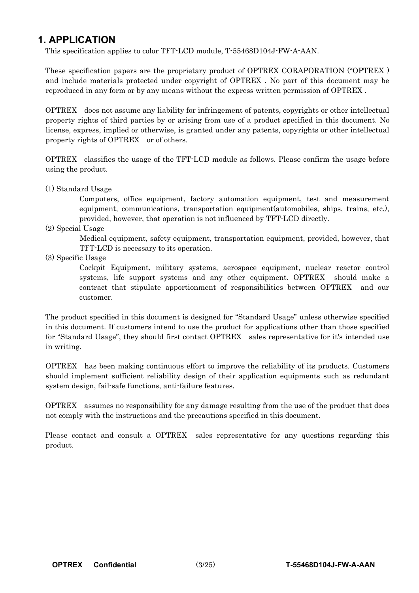### **1. APPLICATION**

This specification applies to color TFT-LCD module, T-55468D104J-FW-A-AAN.

These specification papers are the proprietary product of OPTREX CORAPORATION ("OPTREX ) and include materials protected under copyright of OPTREX . No part of this document may be reproduced in any form or by any means without the express written permission of OPTREX .

OPTREX does not assume any liability for infringement of patents, copyrights or other intellectual property rights of third parties by or arising from use of a product specified in this document. No license, express, implied or otherwise, is granted under any patents, copyrights or other intellectual property rights of OPTREX or of others.

OPTREX classifies the usage of the TFT-LCD module as follows. Please confirm the usage before using the product.

(1) Standard Usage

Computers, office equipment, factory automation equipment, test and measurement equipment, communications, transportation equipment(automobiles, ships, trains, etc.), provided, however, that operation is not influenced by TFT-LCD directly.

(2) Special Usage

Medical equipment, safety equipment, transportation equipment, provided, however, that TFT-LCD is necessary to its operation.

(3) Specific Usage

Cockpit Equipment, military systems, aerospace equipment, nuclear reactor control systems, life support systems and any other equipment. OPTREX should make a contract that stipulate apportionment of responsibilities between OPTREX and our customer.

The product specified in this document is designed for "Standard Usage" unless otherwise specified in this document. If customers intend to use the product for applications other than those specified for "Standard Usage", they should first contact OPTREX sales representative for it's intended use in writing.

OPTREX has been making continuous effort to improve the reliability of its products. Customers should implement sufficient reliability design of their application equipments such as redundant system design, fail-safe functions, anti-failure features.

OPTREX assumes no responsibility for any damage resulting from the use of the product that does not comply with the instructions and the precautions specified in this document.

Please contact and consult a OPTREX sales representative for any questions regarding this product.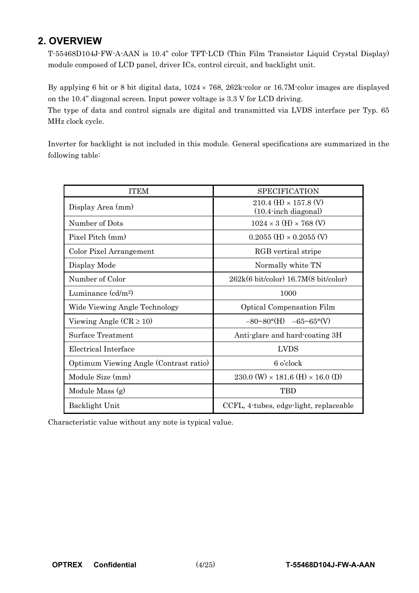## **2. OVERVIEW**

T-55468D104J-FW-A-AAN is 10.4" color TFT-LCD (Thin Film Transistor Liquid Crystal Display) module composed of LCD panel, driver ICs, control circuit, and backlight unit.

By applying 6 bit or 8 bit digital data,  $1024 \times 768$ ,  $262k$ -color or 16.7M-color images are displayed on the 10.4" diagonal screen. Input power voltage is 3.3 V for LCD driving.

The type of data and control signals are digital and transmitted via LVDS interface per Typ. 65 MHz clock cycle.

Inverter for backlight is not included in this module. General specifications are summarized in the following table:

| <b>ITEM</b>                            | <b>SPECIFICATION</b>                                                  |
|----------------------------------------|-----------------------------------------------------------------------|
| Display Area (mm)                      | $210.4$ (H) $\times$ 157.8 (V)<br>$(10.4 \cdot \text{inch diagonal})$ |
| Number of Dots                         | $1024 \times 3$ (H) $\times 768$ (V)                                  |
| Pixel Pitch (mm)                       | $0.2055$ (H) $\times$ 0.2055 (V)                                      |
| Color Pixel Arrangement                | RGB vertical stripe                                                   |
| Display Mode                           | Normally white TN                                                     |
| Number of Color                        | $262k(6 \text{ bit/color})$ 16.7M $(8 \text{ bit/color})$             |
| Luminance $\text{(cd/m2)}$             | 1000                                                                  |
| Wide Viewing Angle Technology          | <b>Optical Compensation Film</b>                                      |
| Viewing Angle $(CR \ge 10)$            | $-80 \sim 80^{\circ}$ (H) $-65 \sim 65^{\circ}$ (V)                   |
| <b>Surface Treatment</b>               | Anti-glare and hard-coating 3H                                        |
| Electrical Interface                   | <b>LVDS</b>                                                           |
| Optimum Viewing Angle (Contrast ratio) | 6 o'clock                                                             |
| Module Size (mm)                       | 230.0 (W) $\times$ 181.6 (H) $\times$ 16.0 (D)                        |
| Module Mass (g)                        | <b>TBD</b>                                                            |
| Backlight Unit                         | CCFL, 4-tubes, edge-light, replaceable                                |

Characteristic value without any note is typical value.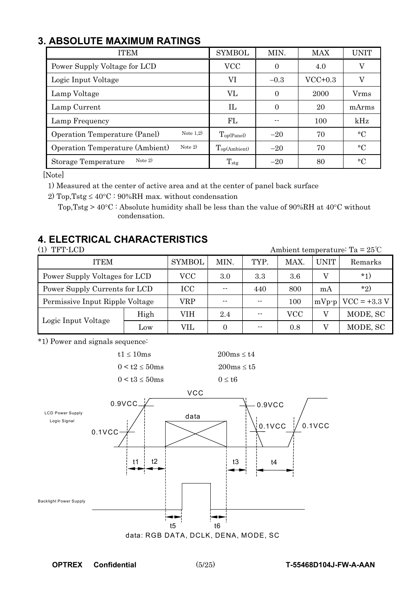# **3. ABSOLUTE MAXIMUM RATINGS**

| <b>ITEM</b>                                         | <b>SYMBOL</b>            | MIN.     | <b>MAX</b> | <b>UNIT</b> |
|-----------------------------------------------------|--------------------------|----------|------------|-------------|
| Power Supply Voltage for LCD                        | VCC                      | 0        | 4.0        | V           |
| Logic Input Voltage                                 | VI                       | $-0.3$   | $VCC+0.3$  | V           |
| Lamp Voltage                                        | VL                       | $\Omega$ | 2000       | Vrms        |
| Lamp Current                                        | $\Pi$                    | 0        | 20         | mArms       |
| Lamp Frequency                                      | FL                       |          | 100        | kHz         |
| Note $1,2)$<br>Operation Temperature (Panel)        | $T_{\text{op(Panel)}}$   | $-20$    | 70         | $\circ$ C   |
| Note $2)$<br><b>Operation Temperature (Ambient)</b> | $T_{\text{op(Ambient)}}$ | $-20$    | 70         | $^{\circ}C$ |
| Note $2)$<br>Storage Temperature                    | $T_{\rm stg}$            | $-20$    | 80         | $^{\circ}C$ |

[Note]

1) Measured at the center of active area and at the center of panel back surface

2) Top, Tstg  $\leq 40^{\circ}\text{C}$  : 90%RH max. without condensation

Top, Tstg >  $40^{\circ}$ C : Absolute humidity shall be less than the value of 90%RH at  $40^{\circ}$ C without condensation.

# **4. ELECTRICAL CHARACTERISTICS**

(1) TFT-LCD Ambient temperature:  $Ta = 25^{\circ}C$ 

| <b>ITEM</b>                     | <b>SYMBOL</b> | MIN.  | TYP. | MAX. | <b>UNIT</b> | Remarks                |          |
|---------------------------------|---------------|-------|------|------|-------------|------------------------|----------|
| Power Supply Voltages for LCD   | VCC           | 3.0   | 3.3  | 3.6  |             | $*1)$                  |          |
| Power Supply Currents for LCD   | <b>ICC</b>    | $- -$ | 440  | 800  | mA          | $*_{2}$                |          |
| Permissive Input Ripple Voltage | VRP           | --    | $ -$ | 100  |             | $mVp-p$ $VCC = +3.3 V$ |          |
| Logic Input Voltage             | High          | VIH   | 2.4  | $ -$ | VCC         |                        | MODE, SC |
|                                 | Low           | VIL   |      | $ -$ | 0.8         |                        | MODE, SC |

\*1) Power and signals sequence:



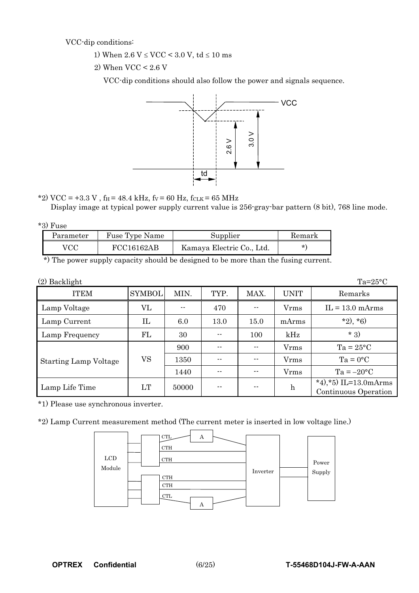VCC-dip conditions:

- 1) When  $2.6 \text{ V} \leq \text{VCC} \leq 3.0 \text{ V}$ , td  $\leq 10 \text{ ms}$
- 2) When VCC < 2.6 V

VCC-dip conditions should also follow the power and signals sequence.



\*2) VCC = +3.3 V,  $f_H = 48.4$  kHz,  $f_V = 60$  Hz,  $f_{CLK} = 65$  MHz

Display image at typical power supply current value is 256-gray-bar pattern (8 bit), 768 line mode.

| -10 | H٦<br>use |
|-----|-----------|
|-----|-----------|

| Parameter | Fuse Type Name | Supplier                  | Remark  |
|-----------|----------------|---------------------------|---------|
| VCC       | FCC16162AB     | Kamaya Electric Co., Ltd. | $\star$ |
| $\cdots$  |                |                           |         |

\*) The power supply capacity should be designed to be more than the fusing current.

| $(2)$ Backlight              |               |       |       |       |                  | $Ta=25^{\circ}C$                              |
|------------------------------|---------------|-------|-------|-------|------------------|-----------------------------------------------|
| <b>ITEM</b>                  | <b>SYMBOL</b> | MIN.  | TYP.  | MAX.  | <b>UNIT</b>      | Remarks                                       |
| Lamp Voltage                 | VL            | --    | 470   | --    | <b>V</b> rms     | $IL = 13.0$ mArms                             |
| Lamp Current                 | IL            | 6.0   | 13.0  | 15.0  | mArms            | $*2, *6)$                                     |
| Lamp Frequency               | FL            | 30    |       | 100   | kHz              | $*3)$                                         |
|                              |               | 900   | $- -$ | $- -$ | Vrms             | $Ta = 25^{\circ}C$                            |
| <b>Starting Lamp Voltage</b> | VS            | 1350  |       | $- -$ | <b>V</b> rms     | $Ta = 0^{\circ}C$                             |
|                              |               | 1440  |       | $- -$ | Vrms             | $Ta = -20$ °C                                 |
| Lamp Life Time               | LT            | 50000 |       | $- -$ | $\boldsymbol{h}$ | *4), *5) IL=13.0mArms<br>Continuous Operation |

\*1) Please use synchronous inverter.

\*2) Lamp Current measurement method (The current meter is inserted in low voltage line.)

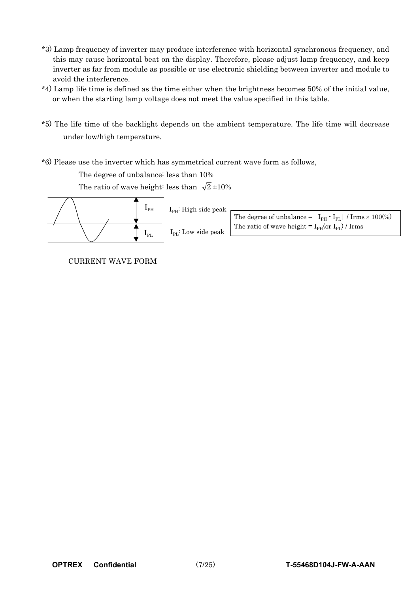- \*3) Lamp frequency of inverter may produce interference with horizontal synchronous frequency, and this may cause horizontal beat on the display. Therefore, please adjust lamp frequency, and keep inverter as far from module as possible or use electronic shielding between inverter and module to avoid the interference.
- \*4) Lamp life time is defined as the time either when the brightness becomes 50% of the initial value, or when the starting lamp voltage does not meet the value specified in this table.
- \*5) The life time of the backlight depends on the ambient temperature. The life time will decrease under low/high temperature.
- \*6) Please use the inverter which has symmetrical current wave form as follows,

The degree of unbalance: less than 10%

The ratio of wave height: less than  $\sqrt{2} \pm 10\%$ 



CURRENT WAVE FORM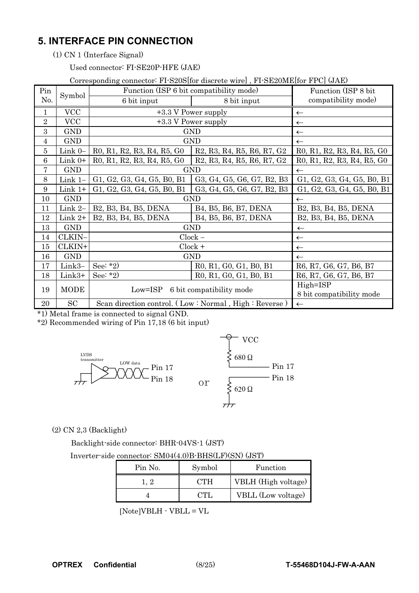## **5. INTERFACE PIN CONNECTION**

(1) CN 1 (Interface Signal)

Used connector: FI-SE20P-HFE (JAE)

#### Corresponding connector: FI-S20S[for discrete wire] , FI-SE20ME[for FPC] (JAE)

| Pin              | Symbol      | Function (ISP 6 bit compatibility mode)                                                                              |                                                                          | Function (ISP 8 bit)       |
|------------------|-------------|----------------------------------------------------------------------------------------------------------------------|--------------------------------------------------------------------------|----------------------------|
| No.              |             | 6 bit input                                                                                                          | 8 bit input                                                              | compatibility mode)        |
| 1                | <b>VCC</b>  |                                                                                                                      | +3.3 V Power supply                                                      | $\leftarrow$               |
| $\overline{2}$   | <b>VCC</b>  |                                                                                                                      | +3.3 V Power supply                                                      | $\leftarrow$               |
| $\boldsymbol{3}$ | <b>GND</b>  |                                                                                                                      | <b>GND</b>                                                               | $\leftarrow$               |
| 4                | <b>GND</b>  | GND                                                                                                                  | $\leftarrow$                                                             |                            |
| 5                | Link $0-$   | R0, R1, R2, R3, R4, R5, G0                                                                                           | R0, R1, R2, R3, R4, R5, G0                                               |                            |
| 6                | Link $0+$   | R <sub>0</sub> , R <sub>1</sub> , R <sub>2</sub> , R <sub>3</sub> , R <sub>4</sub> , R <sub>5</sub> , G <sub>0</sub> | R0, R1, R2, R3, R4, R5, G0                                               |                            |
| 7                | <b>GND</b>  | <b>GND</b>                                                                                                           | $\leftarrow$                                                             |                            |
| $8\,$            | Link 1-     | G1, G2, G3, G4, G5, B0, B1                                                                                           | G3, G4, G5, G6, G7, B2, B3                                               | G1, G2, G3, G4, G5, B0, B1 |
| 9                | Link 1+     | G1, G2, G3, G4, G5, B0, B1                                                                                           | G3, G4, G5, G6, G7, B2, B3                                               | G1, G2, G3, G4, G5, B0, B1 |
| 10               | <b>GND</b>  | <b>GND</b>                                                                                                           | $\leftarrow$                                                             |                            |
| 11               | Link 2-     | B2, B3, B4, B5, DENA                                                                                                 | B <sub>4</sub> , B <sub>5</sub> , B <sub>6</sub> , B <sub>7</sub> , DENA | B2, B3, B4, B5, DENA       |
| 12               | Link 2+     | B2, B3, B4, B5, DENA                                                                                                 | B <sub>4</sub> , B <sub>5</sub> , B <sub>6</sub> , B <sub>7</sub> , DENA | B2, B3, B4, B5, DENA       |
| 13               | <b>GND</b>  |                                                                                                                      | <b>GND</b>                                                               | $\leftarrow$               |
| 14               | CLKIN-      |                                                                                                                      | $Clock -$                                                                | $\leftarrow$               |
| 15               | CLKIN+      |                                                                                                                      | $Clock +$                                                                | $\leftarrow$               |
| 16               | <b>GND</b>  |                                                                                                                      | <b>GND</b>                                                               | $\leftarrow$               |
| 17               | Link3-      | See: $*2)$                                                                                                           | R0, R1, G0, G1, B0, B1                                                   | R6, R7, G6, G7, B6, B7     |
| 18               | Link3+      | See: $*2)$                                                                                                           | R0, R1, G0, G1, B0, B1                                                   | R6, R7, G6, G7, B6, B7     |
| 19               | <b>MODE</b> |                                                                                                                      | Low=ISP 6 bit compatibility mode                                         | High=ISP                   |
|                  |             |                                                                                                                      |                                                                          | 8 bit compatibility mode   |
| 20               | <b>SC</b>   |                                                                                                                      | Scan direction control. (Low: Normal, High: Reverse)                     | $\leftarrow$               |

\*1) Metal frame is connected to signal GND.

\*2) Recommended wiring of Pin 17,18 (6 bit input)



#### (2) CN 2,3 (Backlight)

Backlight-side connector: BHR-04VS-1 (JST)

Inverter-side connector: SM04(4.0)B-BHS(LF)(SN) (JST)

| Pin No. | Symbol | Function            |
|---------|--------|---------------------|
|         | CTH    | VBLH (High voltage) |
|         |        | VBLL (Low voltage)  |

 $[{\tt Note}] {\tt VBLH} \cdot {\tt VBLL} = {\tt VL}$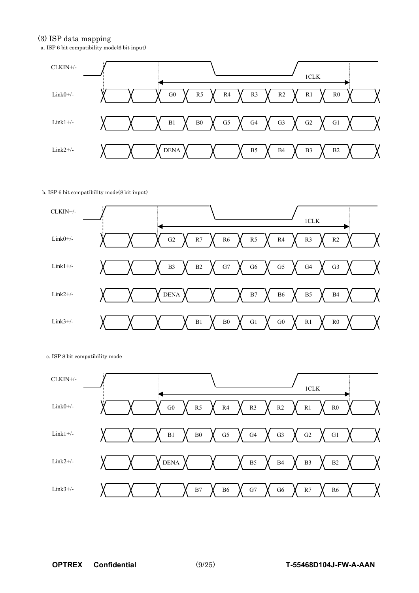#### (3) ISP data mapping

a. ISP 6 bit compatibility mode(6 bit input)



#### b. ISP 6 bit compatibility mode(8 bit input)



c. ISP 8 bit compatibility mode

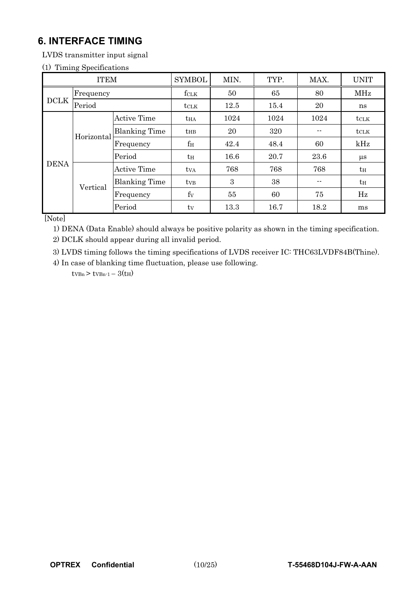# **6. INTERFACE TIMING**

LVDS transmitter input signal

#### (1) Timing Specifications

| <b>ITEM</b> |                       | <b>SYMBOL</b>        | MIN.            | TYP. | MAX. | <b>UNIT</b>   |         |
|-------------|-----------------------|----------------------|-----------------|------|------|---------------|---------|
|             | Frequency             |                      | fclk            | 50   | 65   | 80            | MHz     |
|             | <b>DCLK</b><br>Period |                      | $t$ CLK         | 12.5 | 15.4 | 20            | ns      |
| Horizontal  | <b>Active Time</b>    | $t_{HA}$             | 1024            | 1024 | 1024 | $t_{\rm CLK}$ |         |
|             | <b>Blanking Time</b>  | $t_{HB}$             | 20              | 320  |      | $t_{\rm CLK}$ |         |
|             |                       | Frequency            | $f_{\rm H}$     | 42.4 | 48.4 | 60            | kHz     |
|             |                       | Period               | $t_H$           | 16.6 | 20.7 | 23.6          | $\mu$ s |
| <b>DENA</b> |                       | <b>Active Time</b>   | ty <sub>A</sub> | 768  | 768  | 768           | $t_H$   |
|             | Vertical              | <b>Blanking Time</b> | ty <sub>B</sub> | 3    | 38   | --            | $t_H$   |
|             |                       | Frequency            | $f_V$           | 55   | 60   | 75            | Hz      |
|             |                       | Period               | tv              | 13.3 | 16.7 | 18.2          | ms      |

[Note]

1) DENA (Data Enable) should always be positive polarity as shown in the timing specification.

2) DCLK should appear during all invalid period.

3) LVDS timing follows the timing specifications of LVDS receiver IC: THC63LVDF84B(Thine).

4) In case of blanking time fluctuation, please use following.  $t_{VBn}$  >  $t_{VBn-1} - 3(t_{H})$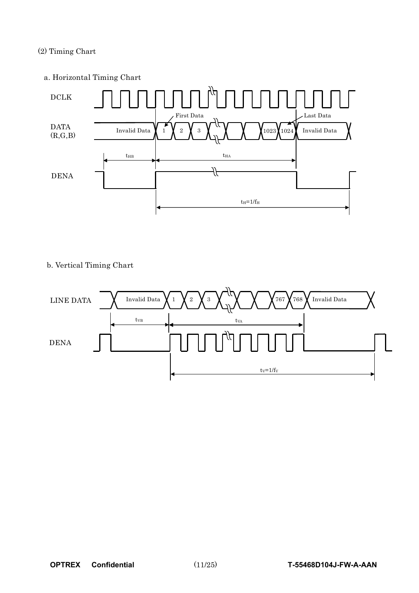#### (2) Timing Chart

a. Horizontal Timing Chart



#### b. Vertical Timing Chart

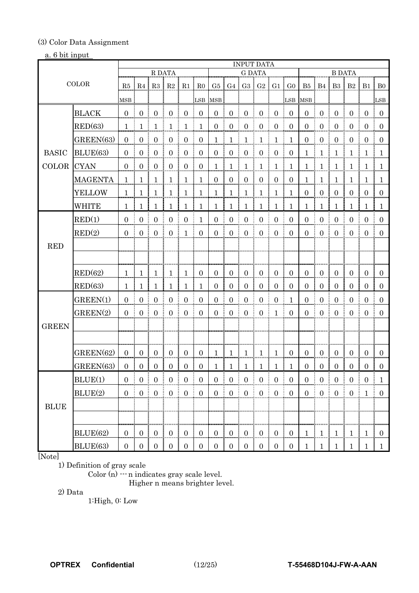#### (3) Color Data Assignment

#### a. 6 bit input

|              |                |                     | <b>INPUT DATA</b>                   |                                  |                     |                                          |                     |                     |                       |                     |                                              |                             |                     |                       |                      |                          |                  |                  |                |
|--------------|----------------|---------------------|-------------------------------------|----------------------------------|---------------------|------------------------------------------|---------------------|---------------------|-----------------------|---------------------|----------------------------------------------|-----------------------------|---------------------|-----------------------|----------------------|--------------------------|------------------|------------------|----------------|
|              |                |                     |                                     | R DATA                           |                     |                                          |                     |                     |                       | <b>G DATA</b>       |                                              |                             |                     |                       |                      | <b>B DATA</b>            |                  |                  |                |
| <b>COLOR</b> |                |                     |                                     | $R5$ $R4$ $R3$ $R2$              |                     | $R1 \mid R0$<br>÷                        |                     |                     |                       |                     |                                              | G5   G4   G3   G2   G1   G0 |                     |                       |                      | B5   B4   B3   B2        |                  | $B1 \nvert B0$   |                |
|              |                | <b>MSB</b>          |                                     |                                  |                     |                                          | <b>LSB</b>          | <b>MSB</b>          |                       |                     |                                              |                             | ilsв                | MSB                   |                      |                          |                  |                  | <b>LSB</b>     |
|              | <b>BLACK</b>   | $\mathbf{0}$        | $\overline{0}$                      | $\overline{0}$                   | $\boldsymbol{0}$    | $\boldsymbol{0}$                         | $\boldsymbol{0}$    | $\boldsymbol{0}$    | $\boldsymbol{0}$      | $\boldsymbol{0}$    | $\boldsymbol{0}$                             | $\boldsymbol{0}$            | $\mathbf{0}$        | $\mathbf{0}$          | $\mathbf{0}$         | $\boldsymbol{0}$         | $\mathbf{0}$     | $\mathbf{0}$     | $\overline{0}$ |
|              | RED(63)        | 1                   | 1                                   | 1                                | $\mathbf{1}$        | $\mathbf{1}$                             | $\mathbf{1}$        | $\boldsymbol{0}$    | $\boldsymbol{0}$      | $\boldsymbol{0}$    | $\overline{0}$                               | $\mathbf{0}$                | $\mathbf{0}$        | $\mathbf{0}$          | $\boldsymbol{0}$     | $\boldsymbol{0}$         | $\boldsymbol{0}$ | $\overline{0}$   | $\mathbf{0}$   |
|              | GREEN(63)      | $\theta$            | $\boldsymbol{0}$                    | $\boldsymbol{0}$                 | $\boldsymbol{0}$    | $\boldsymbol{0}$                         | $\boldsymbol{0}$    | 1                   | 1                     | $\mathbf{1}$        | $\mathbf{1}$                                 | $\mathbf{1}$                | $\mathbf{1}$        | $\mathbf{0}$          | $\boldsymbol{0}$     | $\boldsymbol{0}$         | $\boldsymbol{0}$ | $\overline{0}$   | $\mathbf{0}$   |
| <b>BASIC</b> | BLUE(63)       | $\mathbf{0}$        | $\mathbf{0}$                        | $\boldsymbol{0}$                 | $\boldsymbol{0}$    | $\boldsymbol{0}$                         | $\boldsymbol{0}$    | $\boldsymbol{0}$    | ŧ<br>$\boldsymbol{0}$ | $\boldsymbol{0}$    | $\boldsymbol{0}$                             | $\boldsymbol{0}$            | $\boldsymbol{0}$    | $\mathbf{1}$          | $\mathbf{1}$         | $\mathbf{1}$             | $\mathbf{1}$     | $\mathbf{1}$     | $\mathbf{1}$   |
| <b>COLOR</b> | <b>CYAN</b>    | $\theta$            | $\overline{0}$                      | $\mathbf{0}$                     | $\mathbf{0}$        | $\overline{0}$<br>ŧ                      | $\overline{0}$      | 1                   | $\mathbf{1}$          | $\overline{1}$<br>ŧ | $\mathbf{1}$                                 | $\mathbf{1}$                | $\mathbf{1}$        | $\mathbf{1}$          | $\mathbf{1}$         | I.<br>$\mathbf{1}$       | $\mathbf{1}$     | $\overline{1}$   | $\mathbf{1}$   |
|              | <b>MAGENTA</b> | $\mathbf{1}$        | $\mathbf{1}$                        | $\mathbf{1}$                     | $\mathbf{1}$        | $\mathbf{1}$                             | $\mathbf{1}$        | $\mathbf{0}$        | $\mathbf{0}$          | $\boldsymbol{0}$    | $\mathbf{0}$                                 | $\mathbf{0}$                | $\boldsymbol{0}$    | $\mathbf{1}$<br>I     | $\mathbf{1}$         | $\mathbf{1}$<br>÷        | 1 <sup>1</sup>   | 1 <sup>1</sup>   | <sup>1</sup>   |
|              | <b>YELLOW</b>  | 1                   | 1                                   | 1                                | $\mathbf{1}$        | $\mathbf{1}$                             | $\mathbf{1}$        | 1                   | $\mathbf{1}$          | $\mathbf{1}$        | $\mathbf{1}$                                 | $\mathbf{1}$                | $\mathbf 1$         | $\overline{0}$        | $\mathbf{0}$         | $\overline{0}$           | $\overline{0}$   | $\overline{0}$   | $\overline{0}$ |
|              | <b>WHITE</b>   | $\mathbf{1}$        | 1                                   | 1                                | 1                   | 1                                        | $\mathbf 1$         | 1                   | 1                     | $\mathbf{1}$        | 1                                            | $\mathbf{1}$                | 1                   | 1                     | 1                    | 1                        | 1                | $\mathbf{1}$     | $\mathbf{1}$   |
|              | RED(1)         | $\mathbf{0}$        | $\boldsymbol{0}$                    | $\boldsymbol{0}$                 | $\boldsymbol{0}$    | $\boldsymbol{0}$                         | $\mathbf{1}$        | $\boldsymbol{0}$    | $\boldsymbol{0}$      | $\boldsymbol{0}$    | $\boldsymbol{0}$                             | $\boldsymbol{0}$            | $\boldsymbol{0}$    | $\boldsymbol{0}$<br>Ē | $\boldsymbol{0}$     | $\boldsymbol{0}$         | $\boldsymbol{0}$ | $\boldsymbol{0}$ | $\mathbf{0}$   |
|              | RED(2)         | $\theta$            | $\mathbf{0}$                        | $\overline{0}$                   | $\boldsymbol{0}$    | $\mathbf{1}$                             | $\overline{0}$      | $\Omega$            | $\mathbf{0}$          | $\boldsymbol{0}$    | $\mathbf{0}$                                 | $\boldsymbol{0}$            | $\mathbf{0}$        | $\overline{0}$        | $\mathbf{0}$         | $\overline{0}$           | $\overline{0}$   | $\mathbf{0}$     | $\overline{0}$ |
| <b>RED</b>   |                |                     |                                     |                                  |                     |                                          |                     |                     |                       |                     |                                              |                             |                     |                       |                      |                          |                  |                  |                |
|              |                |                     |                                     |                                  |                     |                                          |                     |                     |                       |                     |                                              |                             |                     |                       |                      |                          |                  |                  |                |
|              | RED(62)        | $\mathbf{1}$        | $\mathbf 1$                         | $\mathbf{1}$                     | $\mathbf{1}$        | $\mathbf{1}$                             | $\mathbf{0}$        | $\mathbf{0}$        | $\boldsymbol{0}$      | $\boldsymbol{0}$    | $\mathbf{0}$                                 | $\mathbf{0}$                | $\mathbf{0}$        | $\overline{0}$        | $\overline{0}$       | $\mathbf{0}$             | $\overline{0}$   | $\overline{0}$   | $\overline{0}$ |
|              | RED(63)        | $\mathbf{1}$        | 1                                   | 1                                | 1                   | 1                                        | $\mathbf{1}$        | $\boldsymbol{0}$    | $\boldsymbol{0}$      | $\boldsymbol{0}$    | $\mathbf{0}$                                 | $\boldsymbol{0}$            | $\mathbf{0}$        | $\overline{0}$        | $\boldsymbol{0}$     | $\overline{0}$           | $\boldsymbol{0}$ | $\mathbf{0}$     | $\overline{0}$ |
|              | GREEN(1)       | $\overline{0}$      | $\theta$                            | $\mathbf{0}$                     | $\boldsymbol{0}$    | $\overline{0}$                           | $\mathbf{0}$        | $\boldsymbol{0}$    | $\overline{0}$        | $\boldsymbol{0}$    | $\mathbf{0}$                                 | $\mathbf{0}$                | 1                   | $\overline{0}$        | $\mathbf{0}$         | $\mathbf{0}$             | $\overline{0}$   | $\mathbf{0}$     | $\overline{0}$ |
|              | GREEN(2)       | $\overline{0}$      | $\mathbf{0}$                        | $\mathbf{0}$                     | $\boldsymbol{0}$    | $\boldsymbol{0}$                         | $\boldsymbol{0}$    | $\overline{0}$<br>I | $\mathbf{0}$          | $\boldsymbol{0}$    | Ī<br>$\mathbf{0}$                            | $\mathbf{1}$                | $\overline{0}$      | $\overline{0}$<br>Ī   | $\mathbf{0}$         | ī<br>$\overline{0}$<br>Ī | $\overline{0}$   | $\mathbf{0}$     | $\overline{0}$ |
| <b>GREEN</b> |                |                     |                                     |                                  |                     |                                          |                     |                     |                       |                     |                                              |                             |                     |                       |                      |                          |                  |                  |                |
|              |                |                     |                                     |                                  |                     |                                          |                     |                     |                       |                     |                                              |                             |                     |                       |                      |                          |                  |                  |                |
|              | GREEN(62)      | $\overline{0}$<br>÷ | $\mathbf{0}$                        | $\boldsymbol{0}$                 | $\overline{0}$      | $\boldsymbol{0}$                         | $\overline{0}$<br>÷ | 1 <sup>1</sup>      | $1 \mid 1$            |                     | ŧ.<br>- 1                                    | $\mathbf{1}$                | $\overline{0}$      | $\overline{0}$        | $\overline{0}$<br>ŧ. | $\overline{0}$<br>÷<br>÷ | $\boldsymbol{0}$ | $\overline{0}$   | $\pm 0$        |
|              | GREEN(63)      | $\mathbf{0}$        | $\mathbf{0}$                        | $\mathbf{0}$                     | $\mathbf{0}$        | $\Omega$                                 | $\boldsymbol{0}$    | 1                   | 1                     | 1                   | 1                                            | 1                           | 1                   | $\overline{0}$        | $\overline{0}$       | $\overline{0}$           | $\overline{0}$   | $\Omega$         | $\mathbf{0}$   |
|              | BLUE(1)        | $\overline{0}$      | $\boldsymbol{0}$                    | $\boldsymbol{0}$                 | $\boldsymbol{0}$    | $\boldsymbol{0}$                         | $\boldsymbol{0}$    | $\overline{0}$      | $\boldsymbol{0}$      | $\boldsymbol{0}$    | $\boldsymbol{0}$                             | $\boldsymbol{0}$            | $\mathbf{0}$        | 0                     | $\boldsymbol{0}$     | $\overline{0}$           | $\boldsymbol{0}$ | $\boldsymbol{0}$ | $\mathbf{1}$   |
|              | BLUE(2)        | $\mathbf{0}$        | $\mathbf{0}$                        | $\boldsymbol{0}$                 | $\boldsymbol{0}$    | $\boldsymbol{0}$                         | $\overline{0}$<br>Ŧ | $\mathbf{0}$<br>÷   | $\boldsymbol{0}$      | $\mathbf{0}$        | $\overline{0}$<br>I                          | $\boldsymbol{0}$            | $\overline{0}$<br>÷ | $\overline{0}$        | L<br>$\overline{0}$  | L<br>$\overline{0}$<br>ŧ | $\boldsymbol{0}$ | $\mathbf{1}$     | $\overline{0}$ |
| <b>BLUE</b>  |                |                     |                                     |                                  |                     |                                          |                     |                     |                       |                     |                                              |                             |                     |                       |                      |                          |                  |                  |                |
|              |                |                     |                                     |                                  |                     |                                          |                     |                     |                       |                     |                                              |                             |                     |                       |                      |                          |                  |                  |                |
|              | BLUE(62)       |                     | $0 \mid 0 \mid 0$                   |                                  | $\overline{0}$      | $\begin{matrix} 1 & 0 \end{matrix}$<br>÷ | $\overline{0}$      |                     | $0 \mid 0 \mid 0$     |                     | $\begin{matrix} 1 & 0 \\ 0 & 0 \end{matrix}$ | $0 \mid 0$                  |                     |                       |                      | 1   1   1   1            |                  | $1 \mid 0$       |                |
|              | BLUE(63)       | $\overline{0}$      | $\begin{array}{c} 0 \\ \end{array}$ | $\begin{matrix}0\\0\end{matrix}$ | $\overline{0}$<br>÷ | $\overline{0}$<br>÷.                     | $\overline{0}$      | 0 <sup>1</sup>      |                       | $0 \mid 0 \mid 0$   | H                                            | $\overline{0}$<br>÷         | $\mathbf{0}$        |                       | $1 \mid 1 \mid$      | <sup>1</sup>             |                  | $1 \mid 1 \mid$  | <sup>1</sup>   |

[Note]

1) Definition of gray scale

Color  $(n)$   $\cdots$  n indicates gray scale level.

Higher n means brighter level.

2) Data

1:High, 0: Low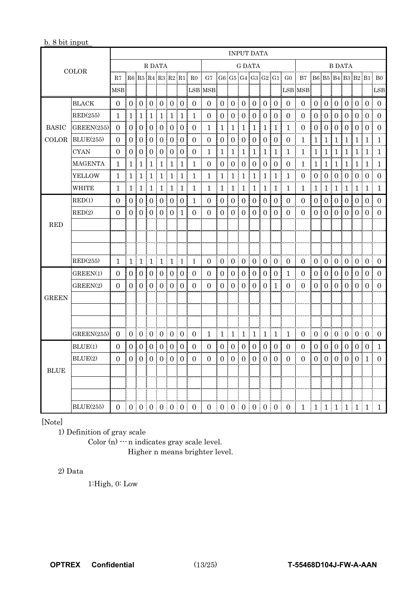| b. 8 bit input |  |  |  |  |  |
|----------------|--|--|--|--|--|
|----------------|--|--|--|--|--|

| <b>COLOR</b> |                   | <b>INPUT DATA</b>                       |                  |                  |                       |                |                |                           |                |                     |                |                       |                |                |                       |                      |                      |                         |                |                     |                  |                       |                |                  |                 |
|--------------|-------------------|-----------------------------------------|------------------|------------------|-----------------------|----------------|----------------|---------------------------|----------------|---------------------|----------------|-----------------------|----------------|----------------|-----------------------|----------------------|----------------------|-------------------------|----------------|---------------------|------------------|-----------------------|----------------|------------------|-----------------|
|              |                   | R DATA                                  |                  |                  |                       |                |                | G DATA                    |                |                     |                |                       |                | <b>B DATA</b>  |                       |                      |                      |                         |                |                     |                  |                       |                |                  |                 |
|              |                   | $R7$ $R6$ $R5$ $R4$ $R3$ $R2$ $R1$ $R0$ |                  |                  |                       |                |                |                           |                | G7                  |                |                       |                |                |                       |                      | G6[G5[G4]G3[G2[G1]G0 | B7 B6 B5 B4 B3 B2 B1 B0 |                |                     |                  |                       |                |                  |                 |
|              |                   | MSB:                                    |                  |                  |                       |                |                |                           | :LSB           | MSB:                |                | I                     |                |                |                       |                      |                      | LSB MSB:                |                |                     |                  |                       |                |                  | :LSB            |
|              | <b>BLACK</b>      | ÷<br>$\Omega$                           |                  |                  | 0   0   0   0   0   0 |                |                |                           | I<br>$\Omega$  | $\overline{0}$      |                |                       |                |                | 0   0   0   0   0   0 | ÷                    | $\Omega$             | $\overline{0}$<br>÷     |                |                     |                  |                       |                |                  | 0 0 0 0 0 0 0 0 |
|              | RED(255)          | 1.                                      | 1                | 1                | 1                     | 1              | 1              | 1                         | $\mathbf{1}$   | $\Omega$            | 0 i            | $\Omega$<br>I         | $\theta$       | 0:             | $\Omega$              | $\theta$<br>÷        | $\Omega$             | $\theta$                | $\Omega$       | $\Omega$            | $\Omega$         | $\theta$              | 0:             | $\Omega$         | $\Omega$        |
| <b>BASIC</b> | GREEN(255)        | $\overline{0}$                          | $\overline{0}$   | $\overline{0}$   | 0:                    | $\overline{0}$ | $\overline{0}$ | $\overline{0}$            | $\overline{0}$ | $\mathbf{1}$        | 1 !            | $\mathbf 1$           | ı<br>1         | 1 <sub>1</sub> | $\mathbf{1}$          | $\mathbf{1}$         | 1                    | $\mathbf{0}$            | $\overline{0}$ | $\mathbf{0}$        | 0 <sub>1</sub>   | $\boldsymbol{0}$      | 0:             | $\overline{0}$   | $\Omega$        |
| COLOR        | BLUE(255)         | 0                                       | 0                | 0                | $\overline{0}$        | $\overline{0}$ | $\overline{0}$ | $\overline{0}$            | $\Omega$       | $\Omega$            | 0              | $\boldsymbol{0}$      | $\overline{0}$ | $\overline{0}$ | $\overline{0}$        | $\overline{0}$       | $\overline{0}$       | 1                       | 1              | 1                   | 1                | 1                     | 1              | 1                | 1.              |
|              | <b>CYAN</b>       | $\Omega$                                | $\boldsymbol{0}$ | 0                | $\overline{0}$        | $\mathbf{0}$   | $\overline{0}$ | $\boldsymbol{0}$          | $\Omega$       | $\mathbf{1}$        | 1              | $\mathbf{1}$          | 1              | $\mathbf 1$    | $\mathbf 1$           | $\mathbf 1$          | 1                    | $\mathbf 1$             | $\mathbf{1}$   | $\mathbf{1}$        | 1                | 1                     | 1              | 1                | $\mathbf{1}$    |
|              | <b>MAGENTA</b>    | 1                                       | 1                | 1                | 1                     | 1              | 1              | 1                         | 1              | 0                   | 0 i            | $\boldsymbol{0}$<br>I | 0              | 0 !            | $\mathbf{0}$          | $\overline{0}$<br>I. | $\Omega$             | 1                       | 1              | $\mathbf{1}$        | i<br>1           | 1                     | 1 !            | 1                | 1               |
|              | YELLOW            | 1.                                      | $\mathbf{1}$     | $\pm 1$          | ÷<br>1                | ÷<br>1         | ŧ<br>1         | I<br>$\mathbf{1}$         | 1              | 1                   | 1 !            | 1                     | I<br>1         | 1 <sup>1</sup> | 1                     | ! 1                  | 1                    | $\Omega$                | $\overline{0}$ | $\overline{0}$<br>ĵ | 0 <sup>1</sup>   | $\overline{0}$        | 0 <sup>1</sup> | $\theta$         | $\Omega$        |
|              | WHITE             | 1                                       |                  |                  |                       |                |                | 1   1   1   1   1   1     | 1              | 1                   | 1 <sup>1</sup> |                       | 1 1            | 1 <sup>1</sup> | 1 1                   |                      | 1                    | $\mathbf{1}$            | 1<br>ŧ         |                     |                  | 1 1 1                 |                | 1 1              | -1              |
|              | RED(1)            | $\Omega$                                | $\overline{0}$   | 0 <sup>1</sup>   | $\overline{0}$        | $\overline{0}$ | $\Omega$       | $\mathbf{0}$              | 1              | $\overline{0}$      | 0 <sub>1</sub> | $\mathbf{0}$          | $\overline{0}$ | $\overline{0}$ | $\overline{0}$        | $\overline{10}$      | $\Omega$             | $\overline{0}$          | $\overline{0}$ | $\mathbf{0}$        | 0 !              | $\overline{0}$        | 0 <sup>1</sup> | $\overline{0}$ : | $\theta$        |
|              | RED(2)            | 0                                       | $\overline{0}$   | 0                | $\overline{0}$        | $\theta$       | $\overline{0}$ | 1                         | $\Omega$       | $\Omega$            | 0 !            | $\overline{0}$        | $\theta$       | $\overline{0}$ | $\overline{0}$        | $\overline{0}$       | $\Omega$             | $\overline{0}$          | $\overline{0}$ | $\boldsymbol{0}$    | 0                | $\overline{0}$        | $\theta$       | $\Omega$         | $\Omega$        |
| <b>RED</b>   |                   |                                         |                  |                  |                       |                |                |                           |                |                     |                |                       |                |                |                       |                      |                      |                         |                |                     |                  |                       |                |                  |                 |
|              |                   |                                         |                  |                  |                       |                |                |                           |                |                     |                |                       |                |                |                       |                      |                      |                         |                |                     |                  |                       |                |                  |                 |
|              |                   |                                         |                  |                  |                       |                |                |                           |                |                     |                |                       |                |                |                       |                      |                      |                         |                |                     |                  |                       |                |                  |                 |
|              | RED(255)          |                                         |                  |                  |                       |                |                | 1   1   1   1   1   1   1 | 1              | ÷<br>$\overline{0}$ |                |                       | 0   0   0      |                | 0   0   0             | ŧ                    | $\theta$             | $\overline{0}$          | ÷              |                     |                  | 0   0   0   0         |                | 0:0:             | $\overline{0}$  |
|              | GREEN(1)          | $\theta$                                | $\overline{0}$   | $\theta$         | $\theta$              | $\overline{0}$ | $\Omega$       | $\theta$                  | $\theta$       | $\mathbf{0}$        | 0 <sup>1</sup> | $\mathbf{0}$          | $\theta$       | 0              |                       | 0 <sup>10</sup>      | 1                    | $\mathbf{0}$            | $\overline{0}$ | $\mathbf{0}$        | 0 !              | $\overline{0}$        | 0 <sup>1</sup> | $\theta$         | $\Omega$        |
|              | GREEN(2)          | $\Omega$                                | 0                | 0                | $\overline{0}$        | $\overline{0}$ | $\theta$       | $\Omega$                  | $\Omega$       | $\Omega$            | 0              | $\overline{0}$        | $\overline{0}$ | $\Omega$       | $\theta$              | 1                    | $\Omega$             | $\Omega$                | $\Omega$       | $\Omega$            | 0                | $\overline{0}$        | $\overline{0}$ | $\Omega$         | $\theta$        |
| <b>GREEN</b> |                   |                                         |                  |                  |                       |                |                |                           |                |                     |                |                       |                |                |                       |                      |                      |                         |                |                     |                  |                       |                |                  |                 |
|              |                   |                                         |                  |                  |                       |                |                |                           |                |                     |                |                       |                |                |                       |                      |                      |                         |                |                     |                  |                       |                |                  |                 |
|              |                   |                                         |                  |                  |                       |                |                |                           |                |                     |                |                       |                |                |                       |                      |                      |                         |                |                     |                  |                       |                |                  |                 |
|              | GREEN(255)        | $\overline{0}$                          |                  |                  |                       |                |                | 0 0 0 0 0 0               | $\overline{0}$ | 1                   |                |                       |                |                | 1   1   1   1   1   1 |                      | 1                    | $\theta$                | ÷              |                     |                  | 0   0   0   0   0   0 |                |                  | 0               |
|              | BLUE(1)           | $\Omega$                                | $\overline{0}$   | $\Omega$         | $\theta$              | $\overline{0}$ | $\Omega$       | $\overline{0}$            | $\Omega$       | $\Omega$            | 0 <sup>1</sup> | $\overline{0}$        | $\Omega$       | $\overline{0}$ | 0 <sup>1</sup>        | $\theta$             | $\Omega$             | $\Omega$                | $\overline{0}$ | $\overline{0}$      | 0 !              | $\overline{0}$        | 0 <sup>1</sup> | $\Omega$         | 1               |
|              | BLUE(2)           | $\Omega$                                | $\Omega$         | $\overline{0}$ ! | 0:                    | $\overline{0}$ | $\theta$<br>I  | $\Omega$                  | $\Omega$       | $\theta$            | 0 <sup>1</sup> | ÷<br>$\boldsymbol{0}$ | 0 <sub>1</sub> | 0 <sub>i</sub> | $\Omega$              | $\theta$<br>ŧ        | $\Omega$             | $\Omega$                | $\Omega$       | $\Omega$            | $\overline{0}$ : | $\overline{0}$        | 0 <sub>1</sub> | 1                | $\Omega$        |
| <b>BLUE</b>  |                   |                                         |                  |                  |                       |                |                |                           |                |                     |                |                       |                |                |                       |                      |                      |                         |                |                     |                  |                       |                |                  |                 |
|              |                   |                                         |                  |                  |                       |                |                |                           |                |                     |                |                       |                |                |                       |                      |                      |                         |                |                     |                  |                       |                |                  |                 |
|              |                   |                                         |                  |                  |                       |                |                |                           |                |                     |                |                       |                |                |                       |                      |                      |                         |                |                     |                  |                       |                |                  |                 |
|              | <b>BLUE</b> (255) | $\Omega$                                |                  |                  |                       |                |                | 0 0 0 0 0 0               | $\overline{0}$ | 0 <sup>1</sup>      |                |                       |                |                | 0   0   0   0   0   0 | ÷                    | $\overline{0}$       | $\mathbf{1}$            |                |                     |                  | 1 1 1 1 1             |                | 1                | 1               |

[Note]

1) Definition of gray scale

Color (n)  $\cdots$  n indicates gray scale level. Higher n means brighter level.

#### 2) Data

1:High, 0: Low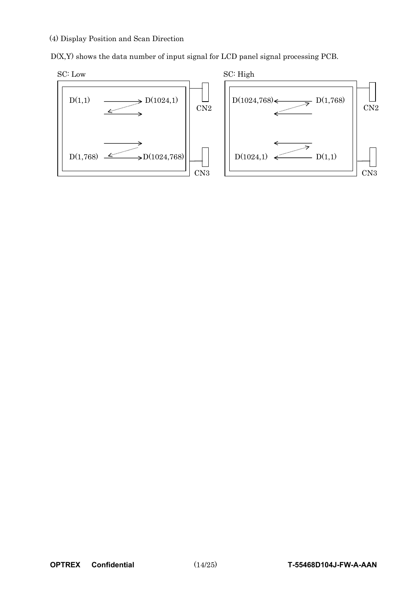#### (4) Display Position and Scan Direction

D(X,Y) shows the data number of input signal for LCD panel signal processing PCB.





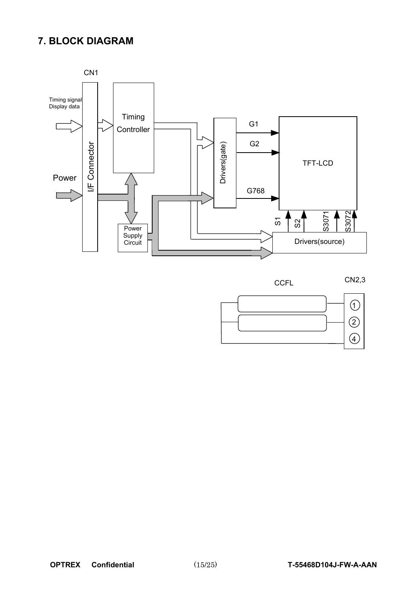## **7. BLOCK DIAGRAM**



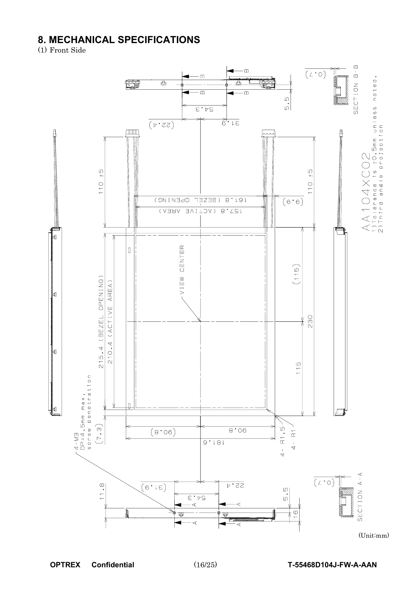# **8. MECHANICAL SPECIFICATIONS**<br>(1) Front Side



(Unit:mm)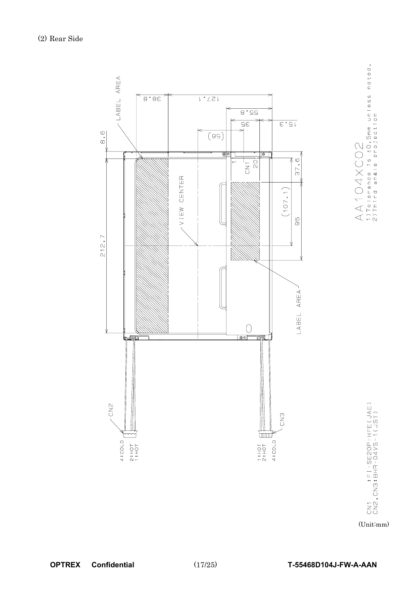

 $\begin{array}{c} \bigwedge \bigwedge \ 1 \bigcirc \bigcirc \bigwedge \bigtimes \bigcirc \bigcirc \bigcirc \bigcirc \\ 1) \top \circ \vdash \bullet \tau \text{ a no e } \bot \text{s } \pm \circ. \ \texttt{5mm } \cup \tau \vdash \texttt{e} \text{ s s } \texttt{not} \texttt{e} \texttt{d} \ . \end{array}$ 

CN1 : FI-SE2OP-HFE(JAE)<br>CN2,CN3:BHR-04VS-1(JST)

(Unit:mm)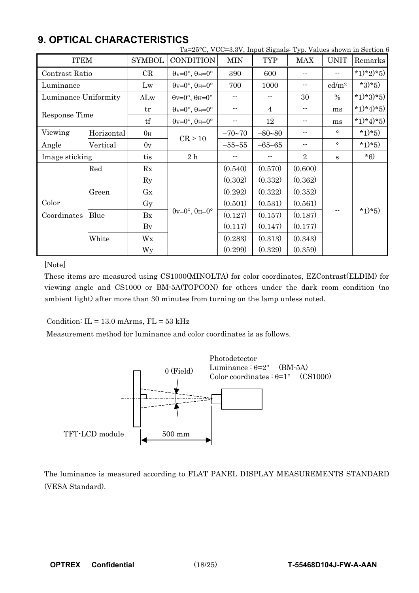|                      |            |                       | Ta=25°C, VCC=3.3V, Input Signals: Typ. Values shown in Section 6 |                            |                            |                |                   |           |  |
|----------------------|------------|-----------------------|------------------------------------------------------------------|----------------------------|----------------------------|----------------|-------------------|-----------|--|
| <b>ITEM</b>          |            | <b>SYMBOL</b>         | <b>CONDITION</b>                                                 | <b>MIN</b>                 | <b>TYP</b>                 | MAX            | <b>UNIT</b>       | Remarks   |  |
| Contrast Ratio       |            | CR                    | $\theta$ v=0°, $\theta$ H=0°                                     | 390                        | 600                        |                |                   | *1)*2)*5) |  |
| Luminance            |            | Lw                    | $\theta$ v=0°, $\theta$ H=0°                                     | 700                        | 1000                       | --             | cd/m <sup>2</sup> | $*3)*5)$  |  |
| Luminance Uniformity |            | $\Delta L$ w          | $\theta$ v=0°, $\theta$ H=0°                                     | $\overline{\phantom{a}}$   | $\overline{\phantom{a}}$ . | 30             | $\%$              | *1)*3)*5) |  |
| Response Time        |            | tr                    | $\theta$ v=0°, $\theta$ H=0°                                     | $\overline{\phantom{a}}$ . | $\overline{4}$             | --             | ms                | *1)*4)*5) |  |
|                      |            | tf                    | $\theta$ v=0°, $\theta$ H=0°                                     | $\overline{\phantom{a}}$   | 12                         | --             | ms                | *1)*4)*5) |  |
| Viewing              | Horizontal | $\theta_H$            | $CR \ge 10$                                                      | $-70 - 70$                 | $-80 - 80$                 |                | $\circ$           | $*1)*5)$  |  |
| Angle                | Vertical   | $\theta$ <sub>V</sub> |                                                                  | $-55 - 55$                 | $-65 - 65$                 | --             | $\circ$           | $*1)*5)$  |  |
| Image sticking       |            | tis                   | 2h                                                               | $- -$                      |                            | $\overline{2}$ | S                 | $*6)$     |  |
|                      | Red        | Rx                    |                                                                  | (0.540)                    | (0.570)                    | (0.600)        |                   |           |  |
|                      |            | $\rm Ry$              |                                                                  | (0.302)                    | (0.332)                    | (0.362)        |                   |           |  |
|                      | Green      | Gx                    |                                                                  | (0.292)                    | (0.322)                    | (0.352)        |                   |           |  |
| Color                |            | Gy                    |                                                                  | (0.501)                    | (0.531)                    | (0.561)        |                   |           |  |
| Coordinates          | Blue       | Bx                    | $\theta$ v=0°, $\theta$ H=0°                                     | (0.127)                    | (0.157)                    | (0.187)        |                   | $*1)*5)$  |  |
|                      |            | $\mathbf{B}$ y        |                                                                  | (0.117)                    | (0.147)                    | (0.177)        |                   |           |  |
|                      | White      | Wx                    |                                                                  | (0.283)                    | (0.313)                    | (0.343)        |                   |           |  |
|                      |            | Wy                    |                                                                  | (0.299)                    | (0.329)                    | (0.359)        |                   |           |  |

# **9. OPTICAL CHARACTERISTICS**

[Note]

These items are measured using CS1000(MINOLTA) for color coordinates, EZContrast(ELDIM) for viewing angle and CS1000 or BM-5A(TOPCON) for others under the dark room condition (no ambient light) after more than 30 minutes from turning on the lamp unless noted.

Condition:  $IL = 13.0$  mArms,  $FL = 53$  kHz

Measurement method for luminance and color coordinates is as follows.



The luminance is measured according to FLAT PANEL DISPLAY MEASUREMENTS STANDARD (VESA Standard).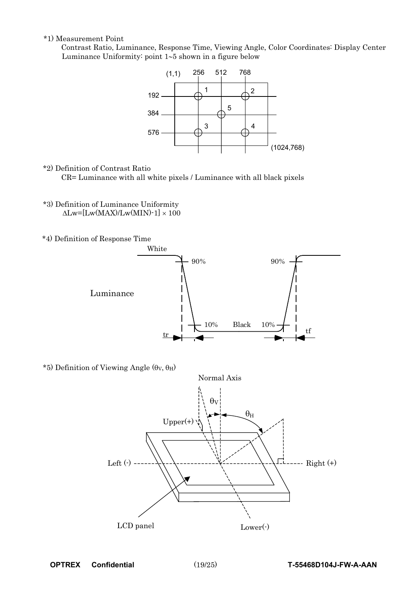\*1) Measurement Point

Contrast Ratio, Luminance, Response Time, Viewing Angle, Color Coordinates: Display Center Luminance Uniformity: point  $1-5$  shown in a figure below



\*2) Definition of Contrast Ratio

CR= Luminance with all white pixels / Luminance with all black pixels

- \*3) Definition of Luminance Uniformity  $\Delta$ Lw=[Lw(MAX)/Lw(MIN)-1]  $\times$  100
- \*4) Definition of Response Time



\*5) Definition of Viewing Angle  $(\theta_V, \theta_H)$ 

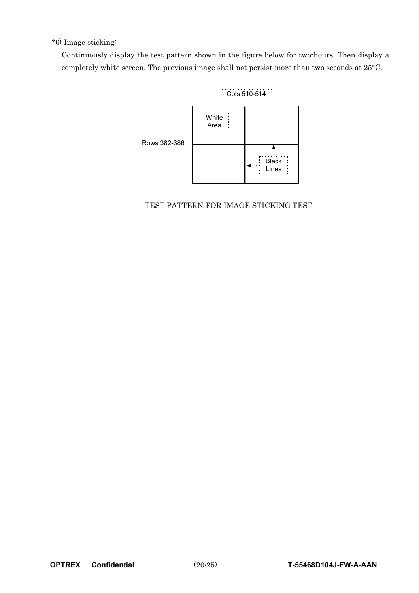#### \*6) Image sticking:

Continuously display the test pattern shown in the figure below for two-hours. Then display a completely white screen. The previous image shall not persist more than two seconds at 25°C.



TEST PATTERN FOR IMAGE STICKING TEST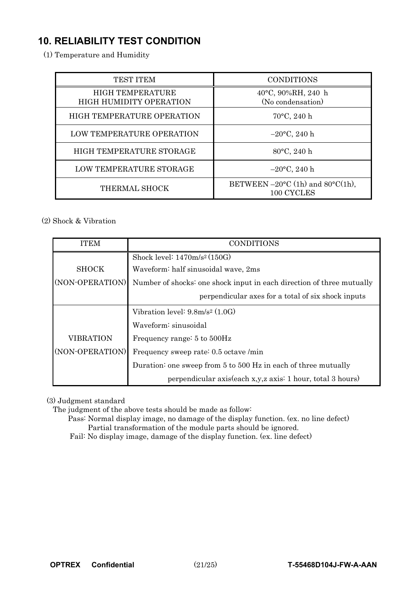# **10. RELIABILITY TEST CONDITION**-

(1) Temperature and Humidity

| <b>TEST ITEM</b>                                          | <b>CONDITIONS</b>                                 |
|-----------------------------------------------------------|---------------------------------------------------|
| <b>HIGH TEMPERATURE</b><br><b>HIGH HUMIDITY OPERATION</b> | 40°C, 90%RH, 240 h<br>(No condensation)           |
| HIGH TEMPERATURE OPERATION                                | $70^{\circ}$ C, 240 h                             |
| <b>LOW TEMPERATURE OPERATION</b>                          | $-20$ °C, 240 h                                   |
| HIGH TEMPERATURE STORAGE                                  | 80°C, 240 h                                       |
| LOW TEMPERATURE STORAGE                                   | $-20$ °C, 240 h                                   |
| THERMAL SHOCK                                             | BETWEEN $-20$ °C (1h) and 80°C(1h),<br>100 CYCLES |

#### (2) Shock & Vibration

| <b>ITEM</b>     | <b>CONDITIONS</b>                                                     |  |  |  |  |  |  |  |  |
|-----------------|-----------------------------------------------------------------------|--|--|--|--|--|--|--|--|
|                 | Shock level: $1470 \text{m/s}^2 (150 \text{G})$                       |  |  |  |  |  |  |  |  |
| <b>SHOCK</b>    | Waveform: half sinusoidal wave, 2ms                                   |  |  |  |  |  |  |  |  |
| (NON-OPERATION) | Number of shocks: one shock input in each direction of three mutually |  |  |  |  |  |  |  |  |
|                 | perpendicular axes for a total of six shock inputs                    |  |  |  |  |  |  |  |  |
|                 | Vibration level: $9.8m/s^2$ (1.0G)                                    |  |  |  |  |  |  |  |  |
|                 | Waveform: sinusoidal                                                  |  |  |  |  |  |  |  |  |
| VIBRATION       | Frequency range: 5 to 500Hz                                           |  |  |  |  |  |  |  |  |
| (NON-OPERATION) | Frequency sweep rate: 0.5 octave /min                                 |  |  |  |  |  |  |  |  |
|                 | Duration: one sweep from 5 to 500 Hz in each of three mutually        |  |  |  |  |  |  |  |  |
|                 | perpendicular axis(each x,y,z axis: 1 hour, total 3 hours)            |  |  |  |  |  |  |  |  |

(3) Judgment standard

The judgment of the above tests should be made as follow:

Pass: Normal display image, no damage of the display function. (ex. no line defect) Partial transformation of the module parts should be ignored.

Fail: No display image, damage of the display function. (ex. line defect)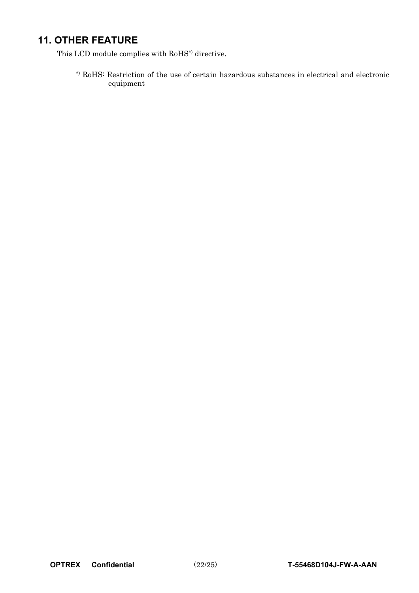# **11. OTHER FEATURE**

This LCD module complies with RoHS\*) directive.

\*) RoHS: Restriction of the use of certain hazardous substances in electrical and electronic equipment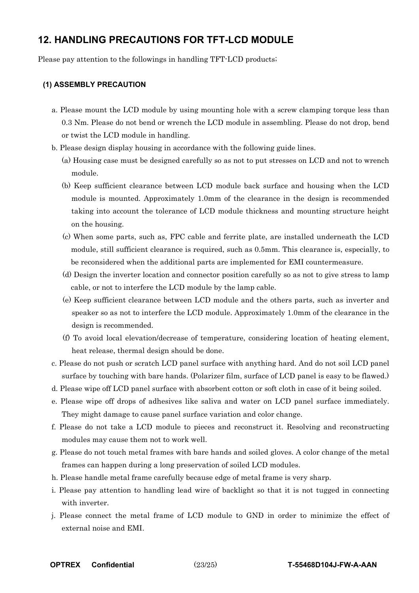## **12. HANDLING PRECAUTIONS FOR TFT-LCD MODULE**-

Please pay attention to the followings in handling TFT-LCD products;

#### **(1) ASSEMBLY PRECAUTION**

- a. Please mount the LCD module by using mounting hole with a screw clamping torque less than 0.3 Nm. Please do not bend or wrench the LCD module in assembling. Please do not drop, bend or twist the LCD module in handling.
- b. Please design display housing in accordance with the following guide lines.
	- (a) Housing case must be designed carefully so as not to put stresses on LCD and not to wrench module.
	- (b) Keep sufficient clearance between LCD module back surface and housing when the LCD module is mounted. Approximately 1.0mm of the clearance in the design is recommended taking into account the tolerance of LCD module thickness and mounting structure height on the housing.
	- (c) When some parts, such as, FPC cable and ferrite plate, are installed underneath the LCD module, still sufficient clearance is required, such as 0.5mm. This clearance is, especially, to be reconsidered when the additional parts are implemented for EMI countermeasure.
	- (d) Design the inverter location and connector position carefully so as not to give stress to lamp cable, or not to interfere the LCD module by the lamp cable.
	- (e) Keep sufficient clearance between LCD module and the others parts, such as inverter and speaker so as not to interfere the LCD module. Approximately 1.0mm of the clearance in the design is recommended.
	- (f) To avoid local elevation/decrease of temperature, considering location of heating element, heat release, thermal design should be done.
- c. Please do not push or scratch LCD panel surface with anything hard. And do not soil LCD panel surface by touching with bare hands. (Polarizer film, surface of LCD panel is easy to be flawed.)
- d. Please wipe off LCD panel surface with absorbent cotton or soft cloth in case of it being soiled.
- e. Please wipe off drops of adhesives like saliva and water on LCD panel surface immediately. They might damage to cause panel surface variation and color change.
- f. Please do not take a LCD module to pieces and reconstruct it. Resolving and reconstructing modules may cause them not to work well.
- g. Please do not touch metal frames with bare hands and soiled gloves. A color change of the metal frames can happen during a long preservation of soiled LCD modules.
- h. Please handle metal frame carefully because edge of metal frame is very sharp.
- i. Please pay attention to handling lead wire of backlight so that it is not tugged in connecting with inverter.
- j. Please connect the metal frame of LCD module to GND in order to minimize the effect of external noise and EMI.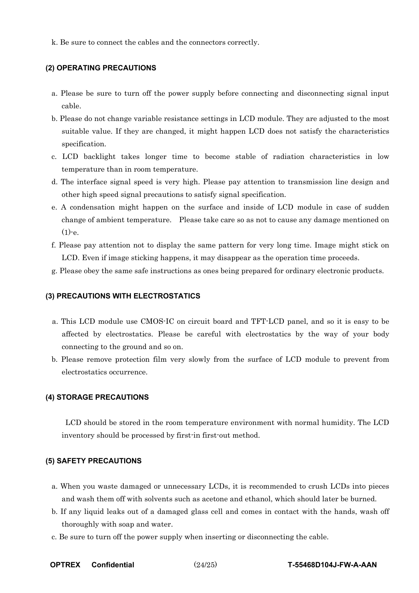k. Be sure to connect the cables and the connectors correctly.

#### **(2) OPERATING PRECAUTIONS**

- a. Please be sure to turn off the power supply before connecting and disconnecting signal input cable.
- b. Please do not change variable resistance settings in LCD module. They are adjusted to the most suitable value. If they are changed, it might happen LCD does not satisfy the characteristics specification.
- c. LCD backlight takes longer time to become stable of radiation characteristics in low temperature than in room temperature.
- d. The interface signal speed is very high. Please pay attention to transmission line design and other high speed signal precautions to satisfy signal specification.
- e. A condensation might happen on the surface and inside of LCD module in case of sudden change of ambient temperature. Please take care so as not to cause any damage mentioned on  $(1)-e$ .
- f. Please pay attention not to display the same pattern for very long time. Image might stick on LCD. Even if image sticking happens, it may disappear as the operation time proceeds.
- g. Please obey the same safe instructions as ones being prepared for ordinary electronic products.

#### **(3) PRECAUTIONS WITH ELECTROSTATICS**

- a. This LCD module use CMOS-IC on circuit board and TFT-LCD panel, and so it is easy to be affected by electrostatics. Please be careful with electrostatics by the way of your body connecting to the ground and so on.
- b. Please remove protection film very slowly from the surface of LCD module to prevent from electrostatics occurrence.

#### **(4) STORAGE PRECAUTIONS**

 LCD should be stored in the room temperature environment with normal humidity. The LCD inventory should be processed by first-in first-out method.

#### **(5) SAFETY PRECAUTIONS**

- a. When you waste damaged or unnecessary LCDs, it is recommended to crush LCDs into pieces and wash them off with solvents such as acetone and ethanol, which should later be burned.
- b. If any liquid leaks out of a damaged glass cell and comes in contact with the hands, wash off thoroughly with soap and water.
- c. Be sure to turn off the power supply when inserting or disconnecting the cable.